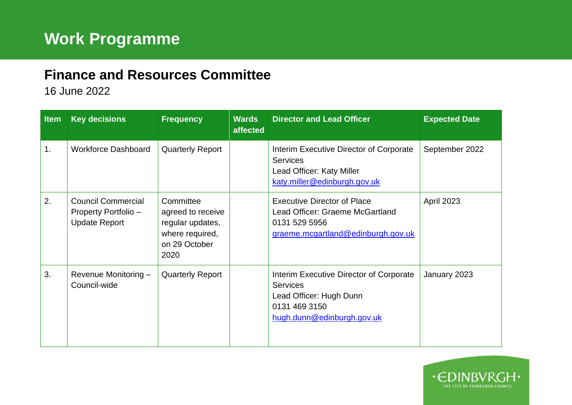## **Finance and Resources Committee**

16 June 2022

| <b>Item</b> | <b>Key decisions</b>                                                      | <b>Frequency</b>                                                                               | <b>Wards</b><br>affected | <b>Director and Lead Officer</b>                                                                                                     | <b>Expected Date</b> |
|-------------|---------------------------------------------------------------------------|------------------------------------------------------------------------------------------------|--------------------------|--------------------------------------------------------------------------------------------------------------------------------------|----------------------|
| 1.          | <b>Workforce Dashboard</b>                                                | <b>Quarterly Report</b>                                                                        |                          | Interim Executive Director of Corporate<br><b>Services</b><br>Lead Officer: Katy Miller<br>katy.miller@edinburgh.gov.uk              | September 2022       |
| 2.          | <b>Council Commercial</b><br>Property Portfolio -<br><b>Update Report</b> | Committee<br>agreed to receive<br>regular updates,<br>where required,<br>on 29 October<br>2020 |                          | <b>Executive Director of Place</b><br>Lead Officer: Graeme McGartland<br>0131 529 5956<br>graeme.mcgartland@edinburgh.gov.uk         | <b>April 2023</b>    |
| 3.          | Revenue Monitoring -<br>Council-wide                                      | <b>Quarterly Report</b>                                                                        |                          | Interim Executive Director of Corporate<br><b>Services</b><br>Lead Officer: Hugh Dunn<br>0131 469 3150<br>hugh.dunn@edinburgh.gov.uk | January 2023         |

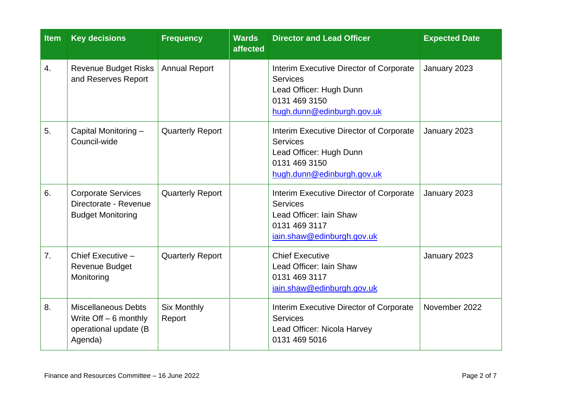| <b>Item</b> | <b>Key decisions</b>                                                                      | <b>Frequency</b>             | <b>Wards</b><br>affected | <b>Director and Lead Officer</b>                                                                                                     | <b>Expected Date</b> |
|-------------|-------------------------------------------------------------------------------------------|------------------------------|--------------------------|--------------------------------------------------------------------------------------------------------------------------------------|----------------------|
| 4.          | <b>Revenue Budget Risks</b><br>and Reserves Report                                        | <b>Annual Report</b>         |                          | Interim Executive Director of Corporate<br><b>Services</b><br>Lead Officer: Hugh Dunn<br>0131 469 3150<br>hugh.dunn@edinburgh.gov.uk | January 2023         |
| 5.          | Capital Monitoring -<br>Council-wide                                                      | <b>Quarterly Report</b>      |                          | Interim Executive Director of Corporate<br><b>Services</b><br>Lead Officer: Hugh Dunn<br>0131 469 3150<br>hugh.dunn@edinburgh.gov.uk | January 2023         |
| 6.          | <b>Corporate Services</b><br>Directorate - Revenue<br><b>Budget Monitoring</b>            | <b>Quarterly Report</b>      |                          | Interim Executive Director of Corporate<br><b>Services</b><br>Lead Officer: Iain Shaw<br>0131 469 3117<br>iain.shaw@edinburgh.gov.uk | January 2023         |
| 7.          | Chief Executive -<br>Revenue Budget<br>Monitoring                                         | <b>Quarterly Report</b>      |                          | <b>Chief Executive</b><br>Lead Officer: Iain Shaw<br>0131 469 3117<br>iain.shaw@edinburgh.gov.uk                                     | January 2023         |
| 8.          | <b>Miscellaneous Debts</b><br>Write $Off - 6$ monthly<br>operational update (B<br>Agenda) | <b>Six Monthly</b><br>Report |                          | Interim Executive Director of Corporate<br><b>Services</b><br>Lead Officer: Nicola Harvey<br>0131 469 5016                           | November 2022        |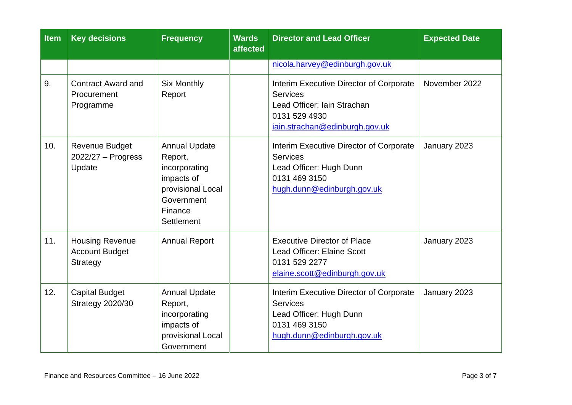| <b>Item</b> | <b>Key decisions</b>                                               | <b>Frequency</b>                                                                                                           | <b>Wards</b><br>affected | <b>Director and Lead Officer</b>                                                                                                             | <b>Expected Date</b> |
|-------------|--------------------------------------------------------------------|----------------------------------------------------------------------------------------------------------------------------|--------------------------|----------------------------------------------------------------------------------------------------------------------------------------------|----------------------|
|             |                                                                    |                                                                                                                            |                          | nicola.harvey@edinburgh.gov.uk                                                                                                               |                      |
| 9.          | <b>Contract Award and</b><br>Procurement<br>Programme              | <b>Six Monthly</b><br>Report                                                                                               |                          | Interim Executive Director of Corporate<br><b>Services</b><br>Lead Officer: Iain Strachan<br>0131 529 4930<br>iain.strachan@edinburgh.gov.uk | November 2022        |
| 10.         | <b>Revenue Budget</b><br>$2022/27 -$ Progress<br>Update            | <b>Annual Update</b><br>Report,<br>incorporating<br>impacts of<br>provisional Local<br>Government<br>Finance<br>Settlement |                          | Interim Executive Director of Corporate<br><b>Services</b><br>Lead Officer: Hugh Dunn<br>0131 469 3150<br>hugh.dunn@edinburgh.gov.uk         | January 2023         |
| 11.         | <b>Housing Revenue</b><br><b>Account Budget</b><br><b>Strategy</b> | <b>Annual Report</b>                                                                                                       |                          | <b>Executive Director of Place</b><br>Lead Officer: Elaine Scott<br>0131 529 2277<br>elaine.scott@edinburgh.gov.uk                           | January 2023         |
| 12.         | <b>Capital Budget</b><br><b>Strategy 2020/30</b>                   | <b>Annual Update</b><br>Report,<br>incorporating<br>impacts of<br>provisional Local<br>Government                          |                          | Interim Executive Director of Corporate<br><b>Services</b><br>Lead Officer: Hugh Dunn<br>0131 469 3150<br>hugh.dunn@edinburgh.gov.uk         | January 2023         |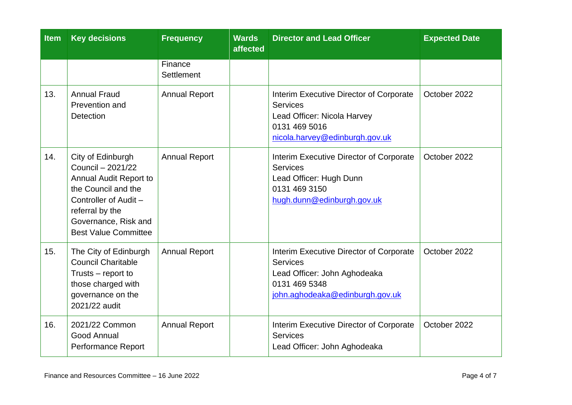| <b>Item</b> | <b>Key decisions</b>                                                                                                                                                                              | <b>Frequency</b>      | <b>Wards</b><br>affected | <b>Director and Lead Officer</b>                                                                                                               | <b>Expected Date</b> |
|-------------|---------------------------------------------------------------------------------------------------------------------------------------------------------------------------------------------------|-----------------------|--------------------------|------------------------------------------------------------------------------------------------------------------------------------------------|----------------------|
|             |                                                                                                                                                                                                   | Finance<br>Settlement |                          |                                                                                                                                                |                      |
| 13.         | <b>Annual Fraud</b><br>Prevention and<br><b>Detection</b>                                                                                                                                         | <b>Annual Report</b>  |                          | Interim Executive Director of Corporate<br><b>Services</b><br>Lead Officer: Nicola Harvey<br>0131 469 5016<br>nicola.harvey@edinburgh.gov.uk   | October 2022         |
| 14.         | City of Edinburgh<br>Council - 2021/22<br><b>Annual Audit Report to</b><br>the Council and the<br>Controller of Audit -<br>referral by the<br>Governance, Risk and<br><b>Best Value Committee</b> | <b>Annual Report</b>  |                          | Interim Executive Director of Corporate<br><b>Services</b><br>Lead Officer: Hugh Dunn<br>0131 469 3150<br>hugh.dunn@edinburgh.gov.uk           | October 2022         |
| 15.         | The City of Edinburgh<br><b>Council Charitable</b><br>Trusts - report to<br>those charged with<br>governance on the<br>2021/22 audit                                                              | <b>Annual Report</b>  |                          | Interim Executive Director of Corporate<br><b>Services</b><br>Lead Officer: John Aghodeaka<br>0131 469 5348<br>john.aghodeaka@edinburgh.gov.uk | October 2022         |
| 16.         | 2021/22 Common<br><b>Good Annual</b><br>Performance Report                                                                                                                                        | <b>Annual Report</b>  |                          | Interim Executive Director of Corporate<br><b>Services</b><br>Lead Officer: John Aghodeaka                                                     | October 2022         |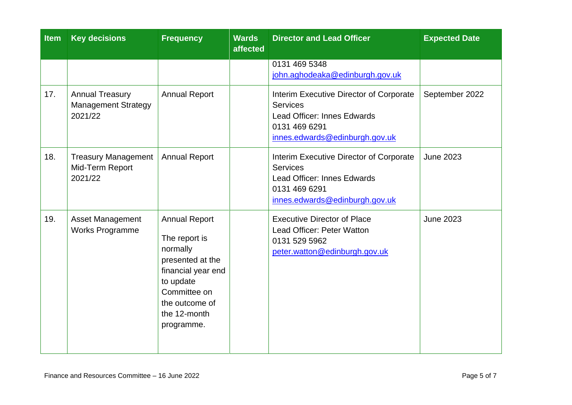| <b>Item</b> | <b>Key decisions</b>                                            | <b>Frequency</b>                                                                                                                                                         | <b>Wards</b><br>affected | <b>Director and Lead Officer</b>                                                                                                                    | <b>Expected Date</b> |
|-------------|-----------------------------------------------------------------|--------------------------------------------------------------------------------------------------------------------------------------------------------------------------|--------------------------|-----------------------------------------------------------------------------------------------------------------------------------------------------|----------------------|
|             |                                                                 |                                                                                                                                                                          |                          | 0131 469 5348<br>john.aghodeaka@edinburgh.gov.uk                                                                                                    |                      |
| 17.         | <b>Annual Treasury</b><br><b>Management Strategy</b><br>2021/22 | <b>Annual Report</b>                                                                                                                                                     |                          | Interim Executive Director of Corporate<br><b>Services</b><br><b>Lead Officer: Innes Edwards</b><br>0131 469 6291<br>innes.edwards@edinburgh.gov.uk | September 2022       |
| 18.         | <b>Treasury Management</b><br>Mid-Term Report<br>2021/22        | <b>Annual Report</b>                                                                                                                                                     |                          | Interim Executive Director of Corporate<br><b>Services</b><br><b>Lead Officer: Innes Edwards</b><br>0131 469 6291<br>innes.edwards@edinburgh.gov.uk | <b>June 2023</b>     |
| 19.         | Asset Management<br><b>Works Programme</b>                      | <b>Annual Report</b><br>The report is<br>normally<br>presented at the<br>financial year end<br>to update<br>Committee on<br>the outcome of<br>the 12-month<br>programme. |                          | <b>Executive Director of Place</b><br>Lead Officer: Peter Watton<br>0131 529 5962<br>peter.watton@edinburgh.gov.uk                                  | <b>June 2023</b>     |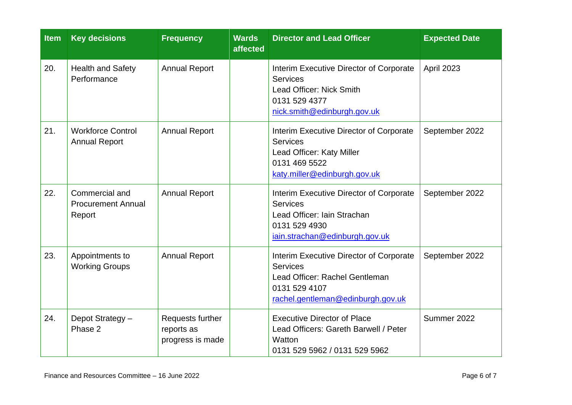| <b>Item</b> | <b>Key decisions</b>                                  | <b>Frequency</b>                                   | <b>Wards</b><br>affected | <b>Director and Lead Officer</b>                                                                                                                   | <b>Expected Date</b> |
|-------------|-------------------------------------------------------|----------------------------------------------------|--------------------------|----------------------------------------------------------------------------------------------------------------------------------------------------|----------------------|
| 20.         | <b>Health and Safety</b><br>Performance               | <b>Annual Report</b>                               |                          | Interim Executive Director of Corporate<br><b>Services</b><br>Lead Officer: Nick Smith<br>0131 529 4377<br>nick.smith@edinburgh.gov.uk             | April 2023           |
| 21.         | <b>Workforce Control</b><br><b>Annual Report</b>      | <b>Annual Report</b>                               |                          | Interim Executive Director of Corporate<br><b>Services</b><br>Lead Officer: Katy Miller<br>0131 469 5522<br>katy.miller@edinburgh.gov.uk           | September 2022       |
| 22.         | Commercial and<br><b>Procurement Annual</b><br>Report | <b>Annual Report</b>                               |                          | Interim Executive Director of Corporate<br><b>Services</b><br>Lead Officer: Iain Strachan<br>0131 529 4930<br>iain.strachan@edinburgh.gov.uk       | September 2022       |
| 23.         | Appointments to<br><b>Working Groups</b>              | <b>Annual Report</b>                               |                          | Interim Executive Director of Corporate<br><b>Services</b><br>Lead Officer: Rachel Gentleman<br>0131 529 4107<br>rachel.gentleman@edinburgh.gov.uk | September 2022       |
| 24.         | Depot Strategy -<br>Phase 2                           | Requests further<br>reports as<br>progress is made |                          | <b>Executive Director of Place</b><br>Lead Officers: Gareth Barwell / Peter<br>Watton<br>0131 529 5962 / 0131 529 5962                             | Summer 2022          |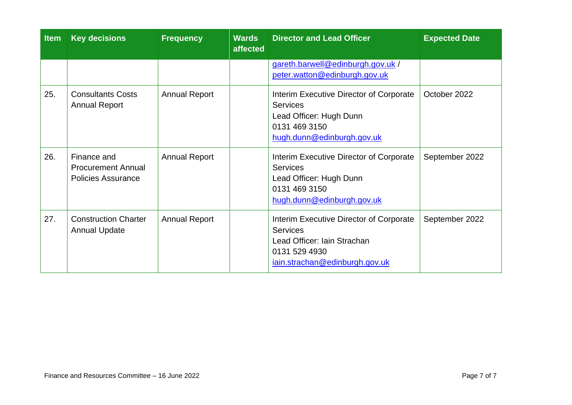| <b>Item</b> | <b>Key decisions</b>                                                  | <b>Frequency</b>     | <b>Wards</b><br>affected | <b>Director and Lead Officer</b>                                                                                                             | <b>Expected Date</b> |
|-------------|-----------------------------------------------------------------------|----------------------|--------------------------|----------------------------------------------------------------------------------------------------------------------------------------------|----------------------|
|             |                                                                       |                      |                          | gareth.barwell@edinburgh.gov.uk /<br>peter.watton@edinburgh.gov.uk                                                                           |                      |
| 25.         | <b>Consultants Costs</b><br><b>Annual Report</b>                      | <b>Annual Report</b> |                          | Interim Executive Director of Corporate<br><b>Services</b><br>Lead Officer: Hugh Dunn<br>0131 469 3150<br>hugh.dunn@edinburgh.gov.uk         | October 2022         |
| 26.         | Finance and<br><b>Procurement Annual</b><br><b>Policies Assurance</b> | <b>Annual Report</b> |                          | Interim Executive Director of Corporate<br><b>Services</b><br>Lead Officer: Hugh Dunn<br>0131 469 3150<br>hugh.dunn@edinburgh.gov.uk         | September 2022       |
| 27.         | <b>Construction Charter</b><br><b>Annual Update</b>                   | <b>Annual Report</b> |                          | Interim Executive Director of Corporate<br><b>Services</b><br>Lead Officer: Iain Strachan<br>0131 529 4930<br>iain.strachan@edinburgh.gov.uk | September 2022       |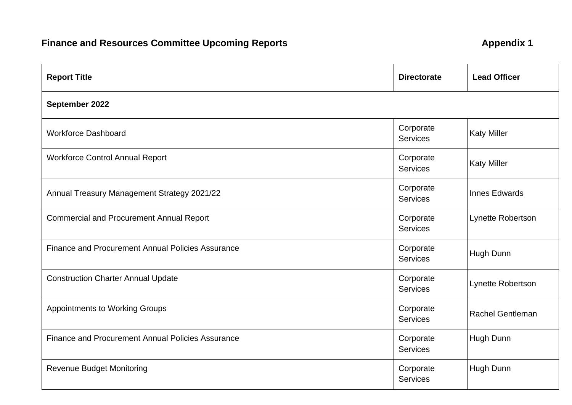## **Finance and Resources Committee Upcoming Reports <b>Appendix 1** Appendix 1

| <b>Report Title</b>                                      | <b>Directorate</b>           | <b>Lead Officer</b>     |
|----------------------------------------------------------|------------------------------|-------------------------|
| September 2022                                           |                              |                         |
| <b>Workforce Dashboard</b>                               | Corporate<br><b>Services</b> | <b>Katy Miller</b>      |
| <b>Workforce Control Annual Report</b>                   | Corporate<br><b>Services</b> | <b>Katy Miller</b>      |
| Annual Treasury Management Strategy 2021/22              | Corporate<br><b>Services</b> | <b>Innes Edwards</b>    |
| <b>Commercial and Procurement Annual Report</b>          | Corporate<br><b>Services</b> | Lynette Robertson       |
| <b>Finance and Procurement Annual Policies Assurance</b> | Corporate<br><b>Services</b> | Hugh Dunn               |
| <b>Construction Charter Annual Update</b>                | Corporate<br><b>Services</b> | Lynette Robertson       |
| <b>Appointments to Working Groups</b>                    | Corporate<br><b>Services</b> | <b>Rachel Gentleman</b> |
| <b>Finance and Procurement Annual Policies Assurance</b> | Corporate<br><b>Services</b> | Hugh Dunn               |
| <b>Revenue Budget Monitoring</b>                         | Corporate<br><b>Services</b> | Hugh Dunn               |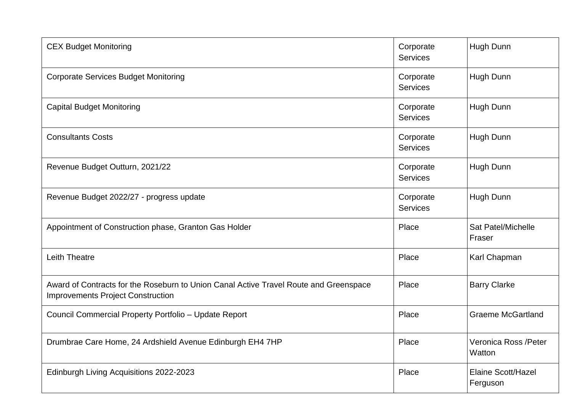| <b>CEX Budget Monitoring</b>                                                                                                      | Corporate<br><b>Services</b> | Hugh Dunn                             |
|-----------------------------------------------------------------------------------------------------------------------------------|------------------------------|---------------------------------------|
| <b>Corporate Services Budget Monitoring</b>                                                                                       | Corporate<br><b>Services</b> | Hugh Dunn                             |
| <b>Capital Budget Monitoring</b>                                                                                                  | Corporate<br><b>Services</b> | Hugh Dunn                             |
| <b>Consultants Costs</b>                                                                                                          | Corporate<br><b>Services</b> | Hugh Dunn                             |
| Revenue Budget Outturn, 2021/22                                                                                                   | Corporate<br><b>Services</b> | Hugh Dunn                             |
| Revenue Budget 2022/27 - progress update                                                                                          | Corporate<br><b>Services</b> | Hugh Dunn                             |
| Appointment of Construction phase, Granton Gas Holder                                                                             | Place                        | Sat Patel/Michelle<br>Fraser          |
| <b>Leith Theatre</b>                                                                                                              | Place                        | Karl Chapman                          |
| Award of Contracts for the Roseburn to Union Canal Active Travel Route and Greenspace<br><b>Improvements Project Construction</b> | Place                        | <b>Barry Clarke</b>                   |
| Council Commercial Property Portfolio - Update Report                                                                             | Place                        | <b>Graeme McGartland</b>              |
| Drumbrae Care Home, 24 Ardshield Avenue Edinburgh EH4 7HP                                                                         | Place                        | Veronica Ross / Peter<br>Watton       |
| Edinburgh Living Acquisitions 2022-2023                                                                                           | Place                        | <b>Elaine Scott/Hazel</b><br>Ferguson |